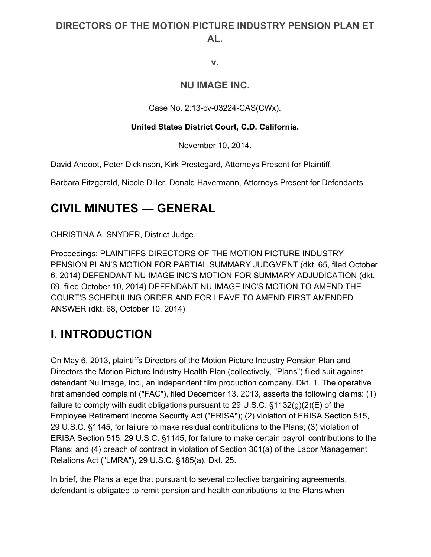#### **DIRECTORS OF THE MOTION PICTURE INDUSTRY PENSION PLAN ET AL.**

**v.**

#### **NU IMAGE INC.**

Case No. 2:13-cv-03224-CAS(CWx).

#### **United States District Court, C.D. California.**

November 10, 2014.

David Ahdoot, Peter Dickinson, Kirk Prestegard, Attorneys Present for Plaintiff.

Barbara Fitzgerald, Nicole Diller, Donald Havermann, Attorneys Present for Defendants.

#### **CIVIL MINUTES — GENERAL**

CHRISTINA A. SNYDER, District Judge.

Proceedings: PLAINTIFFS DIRECTORS OF THE MOTION PICTURE INDUSTRY PENSION PLAN'S MOTION FOR PARTIAL SUMMARY JUDGMENT (dkt. 65, filed October 6, 2014) DEFENDANT NU IMAGE INC'S MOTION FOR SUMMARY ADJUDICATION (dkt. 69, filed October 10, 2014) DEFENDANT NU IMAGE INC'S MOTION TO AMEND THE COURT'S SCHEDULING ORDER AND FOR LEAVE TO AMEND FIRST AMENDED ANSWER (dkt. 68, October 10, 2014)

# **I. INTRODUCTION**

On May 6, 2013, plaintiffs Directors of the Motion Picture Industry Pension Plan and Directors the Motion Picture Industry Health Plan (collectively, "Plans") filed suit against defendant Nu Image, Inc., an independent film production company. Dkt. 1. The operative first amended complaint ("FAC"), filed December 13, 2013, asserts the following claims: (1) failure to comply with audit obligations pursuant to 29 U.S.C.  $\S 1132(q)(2)(E)$  of the Employee Retirement Income Security Act ("ERISA"); (2) violation of ERISA Section 515, 29 U.S.C. §1145, for failure to make residual contributions to the Plans; (3) violation of ERISA Section 515, 29 U.S.C. §1145, for failure to make certain payroll contributions to the Plans; and (4) breach of contract in violation of Section 301(a) of the Labor Management Relations Act ("LMRA"), 29 U.S.C. §185(a). Dkt. 25.

In brief, the Plans allege that pursuant to several collective bargaining agreements, defendant is obligated to remit pension and health contributions to the Plans when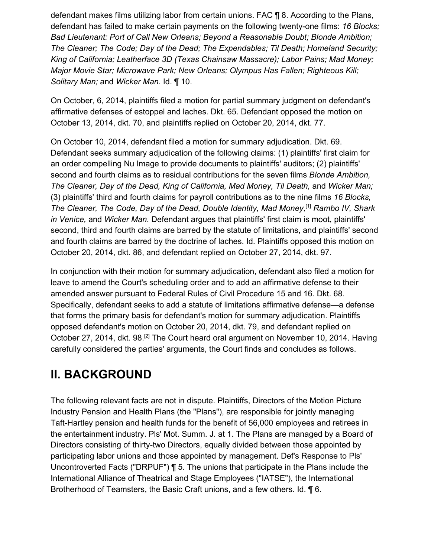defendant makes films utilizing labor from certain unions. FAC ¶ 8. According to the Plans, defendant has failed to make certain payments on the following twenty-one films: *16 Blocks; Bad Lieutenant: Port of Call New Orleans; Beyond a Reasonable Doubt; Blonde Ambition; The Cleaner; The Code; Day of the Dead; The Expendables; Til Death; Homeland Security; King of California; Leatherface 3D (Texas Chainsaw Massacre); Labor Pains; Mad Money; Major Movie Star; Microwave Park; New Orleans; Olympus Has Fallen; Righteous Kill; Solitary Man;* and *Wicker Man.* Id. ¶ 10.

On October, 6, 2014, plaintiffs filed a motion for partial summary judgment on defendant's affirmative defenses of estoppel and laches. Dkt. 65. Defendant opposed the motion on October 13, 2014, dkt. 70, and plaintiffs replied on October 20, 2014, dkt. 77.

On October 10, 2014, defendant filed a motion for summary adjudication. Dkt. 69. Defendant seeks summary adjudication of the following claims: (1) plaintiffs' first claim for an order compelling Nu Image to provide documents to plaintiffs' auditors; (2) plaintiffs' second and fourth claims as to residual contributions for the seven films *Blonde Ambition, The Cleaner, Day of the Dead, King of California, Mad Money, Til Death,* and *Wicker Man;* (3) plaintiffs' third and fourth claims for payroll contributions as to the nine films *16 Blocks, The Cleaner, The Code, Day of the Dead, Double Identity, Mad Money,*[1] *Rambo IV, Shark in Venice,* and *Wicker Man.* Defendant argues that plaintiffs' first claim is moot, plaintiffs' second, third and fourth claims are barred by the statute of limitations, and plaintiffs' second and fourth claims are barred by the doctrine of laches. Id. Plaintiffs opposed this motion on October 20, 2014, dkt. 86, and defendant replied on October 27, 2014, dkt. 97.

In conjunction with their motion for summary adjudication, defendant also filed a motion for leave to amend the Court's scheduling order and to add an affirmative defense to their amended answer pursuant to Federal Rules of Civil Procedure 15 and 16. Dkt. 68. Specifically, defendant seeks to add a statute of limitations affirmative defense—a defense that forms the primary basis for defendant's motion for summary adjudication. Plaintiffs opposed defendant's motion on October 20, 2014, dkt. 79, and defendant replied on October 27, 2014, dkt. 98.<sup>[2]</sup> The Court heard oral argument on November 10, 2014. Having carefully considered the parties' arguments, the Court finds and concludes as follows.

#### **II. BACKGROUND**

The following relevant facts are not in dispute. Plaintiffs, Directors of the Motion Picture Industry Pension and Health Plans (the "Plans"), are responsible for jointly managing Taft-Hartley pension and health funds for the benefit of 56,000 employees and retirees in the entertainment industry. Pls' Mot. Summ. J. at 1. The Plans are managed by a Board of Directors consisting of thirty-two Directors, equally divided between those appointed by participating labor unions and those appointed by management. Def's Response to Pls' Uncontroverted Facts ("DRPUF") ¶ 5. The unions that participate in the Plans include the International Alliance of Theatrical and Stage Employees ("IATSE"), the International Brotherhood of Teamsters, the Basic Craft unions, and a few others. Id. ¶ 6.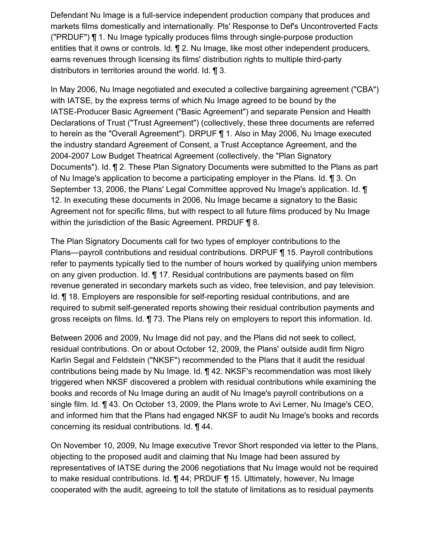Defendant Nu Image is a full-service independent production company that produces and markets films domestically and internationally. Pls' Response to Def's Uncontroverted Facts ("PRDUF") ¶ 1. Nu Image typically produces films through single-purpose production entities that it owns or controls. Id. ¶ 2. Nu Image, like most other independent producers, earns revenues through licensing its films' distribution rights to multiple third-party distributors in territories around the world. Id. ¶ 3.

In May 2006, Nu Image negotiated and executed a collective bargaining agreement ("CBA") with IATSE, by the express terms of which Nu Image agreed to be bound by the IATSE-Producer Basic Agreement ("Basic Agreement") and separate Pension and Health Declarations of Trust ("Trust Agreement") (collectively, these three documents are referred to herein as the "Overall Agreement"). DRPUF ¶ 1. Also in May 2006, Nu Image executed the industry standard Agreement of Consent, a Trust Acceptance Agreement, and the 2004-2007 Low Budget Theatrical Agreement (collectively, the "Plan Signatory Documents"). Id. **¶** 2. These Plan Signatory Documents were submitted to the Plans as part of Nu Image's application to become a participating employer in the Plans. Id. ¶ 3. On September 13, 2006, the Plans' Legal Committee approved Nu Image's application. Id. ¶ 12. In executing these documents in 2006, Nu Image became a signatory to the Basic Agreement not for specific films, but with respect to all future films produced by Nu Image within the jurisdiction of the Basic Agreement. PRDUF ¶ 8.

The Plan Signatory Documents call for two types of employer contributions to the Plans—payroll contributions and residual contributions. DRPUF ¶ 15. Payroll contributions refer to payments typically tied to the number of hours worked by qualifying union members on any given production. Id. ¶ 17. Residual contributions are payments based on film revenue generated in secondary markets such as video, free television, and pay television. Id. ¶ 18. Employers are responsible for self-reporting residual contributions, and are required to submit self-generated reports showing their residual contribution payments and gross receipts on films. Id. ¶ 73. The Plans rely on employers to report this information. Id.

Between 2006 and 2009, Nu Image did not pay, and the Plans did not seek to collect, residual contributions. On or about October 12, 2009, the Plans' outside audit firm Nigro Karlin Segal and Feldstein ("NKSF") recommended to the Plans that it audit the residual contributions being made by Nu Image. Id. ¶ 42. NKSF's recommendation was most likely triggered when NKSF discovered a problem with residual contributions while examining the books and records of Nu Image during an audit of Nu Image's payroll contributions on a single film. Id. ¶ 43. On October 13, 2009, the Plans wrote to Avi Lerner, Nu Image's CEO, and informed him that the Plans had engaged NKSF to audit Nu Image's books and records concerning its residual contributions. Id. ¶ 44.

On November 10, 2009, Nu Image executive Trevor Short responded via letter to the Plans, objecting to the proposed audit and claiming that Nu Image had been assured by representatives of IATSE during the 2006 negotiations that Nu Image would not be required to make residual contributions. Id. ¶ 44; PRDUF ¶ 15. Ultimately, however, Nu Image cooperated with the audit, agreeing to toll the statute of limitations as to residual payments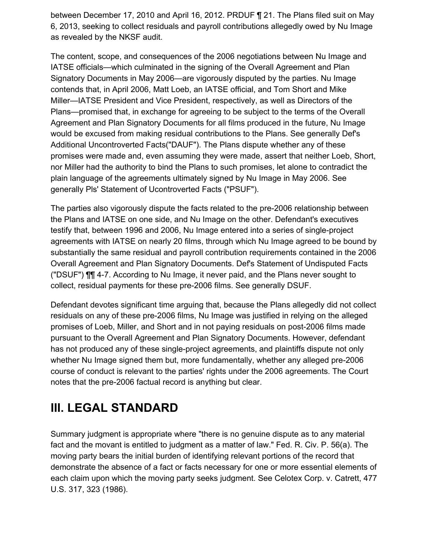between December 17, 2010 and April 16, 2012. PRDUF ¶ 21. The Plans filed suit on May 6, 2013, seeking to collect residuals and payroll contributions allegedly owed by Nu Image as revealed by the NKSF audit.

The content, scope, and consequences of the 2006 negotiations between Nu Image and IATSE officials—which culminated in the signing of the Overall Agreement and Plan Signatory Documents in May 2006—are vigorously disputed by the parties. Nu Image contends that, in April 2006, Matt Loeb, an IATSE official, and Tom Short and Mike Miller—IATSE President and Vice President, respectively, as well as Directors of the Plans—promised that, in exchange for agreeing to be subject to the terms of the Overall Agreement and Plan Signatory Documents for all films produced in the future, Nu Image would be excused from making residual contributions to the Plans. See generally Def's Additional Uncontroverted Facts("DAUF"). The Plans dispute whether any of these promises were made and, even assuming they were made, assert that neither Loeb, Short, nor Miller had the authority to bind the Plans to such promises, let alone to contradict the plain language of the agreements ultimately signed by Nu Image in May 2006. See generally Pls' Statement of Ucontroverted Facts ("PSUF").

The parties also vigorously dispute the facts related to the pre-2006 relationship between the Plans and IATSE on one side, and Nu Image on the other. Defendant's executives testify that, between 1996 and 2006, Nu Image entered into a series of single-project agreements with IATSE on nearly 20 films, through which Nu Image agreed to be bound by substantially the same residual and payroll contribution requirements contained in the 2006 Overall Agreement and Plan Signatory Documents. Def's Statement of Undisputed Facts ("DSUF") ¶¶ 4-7. According to Nu Image, it never paid, and the Plans never sought to collect, residual payments for these pre-2006 films. See generally DSUF.

Defendant devotes significant time arguing that, because the Plans allegedly did not collect residuals on any of these pre-2006 films, Nu Image was justified in relying on the alleged promises of Loeb, Miller, and Short and in not paying residuals on post-2006 films made pursuant to the Overall Agreement and Plan Signatory Documents. However, defendant has not produced any of these single-project agreements, and plaintiffs dispute not only whether Nu Image signed them but, more fundamentally, whether any alleged pre-2006 course of conduct is relevant to the parties' rights under the 2006 agreements. The Court notes that the pre-2006 factual record is anything but clear.

# **III. LEGAL STANDARD**

Summary judgment is appropriate where "there is no genuine dispute as to any material fact and the movant is entitled to judgment as a matter of law." Fed. R. Civ. P. 56(a). The moving party bears the initial burden of identifying relevant portions of the record that demonstrate the absence of a fact or facts necessary for one or more essential elements of each claim upon which the moving party seeks judgment. See Celotex Corp. v. Catrett, 477 U.S. 317, 323 (1986).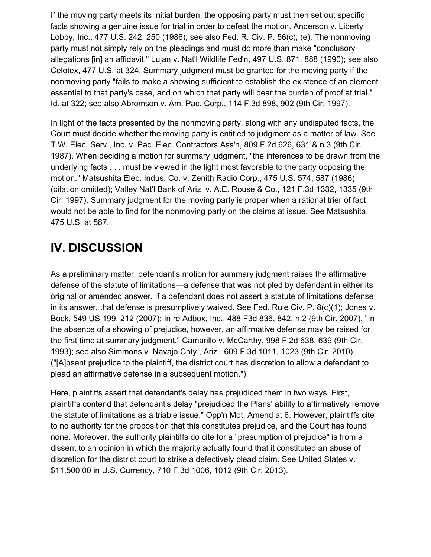If the moving party meets its initial burden, the opposing party must then set out specific facts showing a genuine issue for trial in order to defeat the motion. Anderson v. Liberty Lobby, Inc., 477 U.S. 242, 250 (1986); see also Fed. R. Civ. P. 56(c), (e). The nonmoving party must not simply rely on the pleadings and must do more than make "conclusory allegations [in] an affidavit." Lujan v. Nat'l Wildlife Fed'n, 497 U.S. 871, 888 (1990); see also Celotex, 477 U.S. at 324. Summary judgment must be granted for the moving party if the nonmoving party "fails to make a showing sufficient to establish the existence of an element essential to that party's case, and on which that party will bear the burden of proof at trial." Id. at 322; see also Abromson v. Am. Pac. Corp., 114 F.3d 898, 902 (9th Cir. 1997).

In light of the facts presented by the nonmoving party, along with any undisputed facts, the Court must decide whether the moving party is entitled to judgment as a matter of law. See T.W. Elec. Serv., Inc. v. Pac. Elec. Contractors Ass'n, 809 F.2d 626, 631 & n.3 (9th Cir. 1987). When deciding a motion for summary judgment, "the inferences to be drawn from the underlying facts . . . must be viewed in the light most favorable to the party opposing the motion." Matsushita Elec. Indus. Co. v. Zenith Radio Corp., 475 U.S. 574, 587 (1986) (citation omitted); Valley Nat'l Bank of Ariz. v. A.E. Rouse & Co., 121 F.3d 1332, 1335 (9th Cir. 1997). Summary judgment for the moving party is proper when a rational trier of fact would not be able to find for the nonmoving party on the claims at issue. See Matsushita, 475 U.S. at 587.

#### **IV. DISCUSSION**

As a preliminary matter, defendant's motion for summary judgment raises the affirmative defense of the statute of limitations—a defense that was not pled by defendant in either its original or amended answer. If a defendant does not assert a statute of limitations defense in its answer, that defense is presumptively waived. See Fed. Rule Civ. P. 8(c)(1); Jones v. Bock, 549 US 199, 212 (2007); In re Adbox, Inc., 488 F3d 836, 842, n.2 (9th Cir. 2007). "In the absence of a showing of prejudice, however, an affirmative defense may be raised for the first time at summary judgment." Camarillo v. McCarthy, 998 F.2d 638, 639 (9th Cir. 1993); see also Simmons v. Navajo Cnty., Ariz., 609 F.3d 1011, 1023 (9th Cir. 2010) ("[A]bsent prejudice to the plaintiff, the district court has discretion to allow a defendant to plead an affirmative defense in a subsequent motion.").

Here, plaintiffs assert that defendant's delay has prejudiced them in two ways. First, plaintiffs contend that defendant's delay "prejudiced the Plans' ability to affirmatively remove the statute of limitations as a triable issue." Opp'n Mot. Amend at 6. However, plaintiffs cite to no authority for the proposition that this constitutes prejudice, and the Court has found none. Moreover, the authority plaintiffs do cite for a "presumption of prejudice" is from a dissent to an opinion in which the majority actually found that it constituted an abuse of discretion for the district court to strike a defectively plead claim. See United States v. \$11,500.00 in U.S. Currency, 710 F.3d 1006, 1012 (9th Cir. 2013).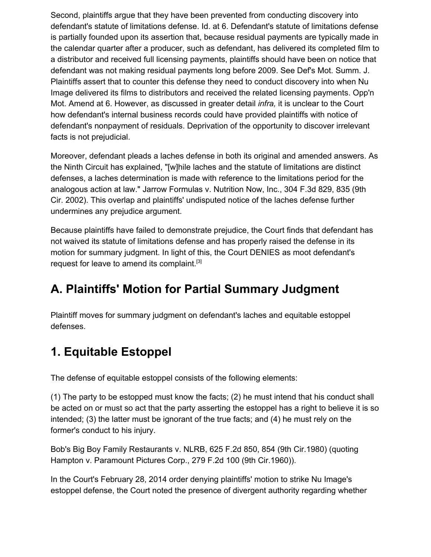Second, plaintiffs argue that they have been prevented from conducting discovery into defendant's statute of limitations defense. Id. at 6. Defendant's statute of limitations defense is partially founded upon its assertion that, because residual payments are typically made in the calendar quarter after a producer, such as defendant, has delivered its completed film to a distributor and received full licensing payments, plaintiffs should have been on notice that defendant was not making residual payments long before 2009. See Def's Mot. Summ. J. Plaintiffs assert that to counter this defense they need to conduct discovery into when Nu Image delivered its films to distributors and received the related licensing payments. Opp'n Mot. Amend at 6. However, as discussed in greater detail *infra,* it is unclear to the Court how defendant's internal business records could have provided plaintiffs with notice of defendant's nonpayment of residuals. Deprivation of the opportunity to discover irrelevant facts is not prejudicial.

Moreover, defendant pleads a laches defense in both its original and amended answers. As the Ninth Circuit has explained, "[w]hile laches and the statute of limitations are distinct defenses, a laches determination is made with reference to the limitations period for the analogous action at law." Jarrow Formulas v. Nutrition Now, Inc., 304 F.3d 829, 835 (9th Cir. 2002). This overlap and plaintiffs' undisputed notice of the laches defense further undermines any prejudice argument.

Because plaintiffs have failed to demonstrate prejudice, the Court finds that defendant has not waived its statute of limitations defense and has properly raised the defense in its motion for summary judgment. In light of this, the Court DENIES as moot defendant's request for leave to amend its complaint.<sup>[3]</sup>

#### **A. Plaintiffs' Motion for Partial Summary Judgment**

Plaintiff moves for summary judgment on defendant's laches and equitable estoppel defenses.

#### **1. Equitable Estoppel**

The defense of equitable estoppel consists of the following elements:

(1) The party to be estopped must know the facts; (2) he must intend that his conduct shall be acted on or must so act that the party asserting the estoppel has a right to believe it is so intended; (3) the latter must be ignorant of the true facts; and (4) he must rely on the former's conduct to his injury.

Bob's Big Boy Family Restaurants v. NLRB, 625 F.2d 850, 854 (9th Cir.1980) (quoting Hampton v. Paramount Pictures Corp., 279 F.2d 100 (9th Cir.1960)).

In the Court's February 28, 2014 order denying plaintiffs' motion to strike Nu Image's estoppel defense, the Court noted the presence of divergent authority regarding whether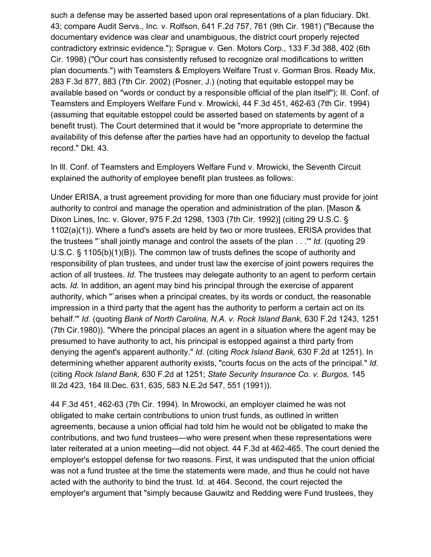such a defense may be asserted based upon oral representations of a plan fiduciary. Dkt. 43; compare Audit Servs., Inc. v. Rolfson, 641 F.2d 757, 761 (9th Cir. 1981) ("Because the documentary evidence was clear and unambiguous, the district court properly rejected contradictory extrinsic evidence."); Sprague v. Gen. Motors Corp., 133 F.3d 388, 402 (6th Cir. 1998) ("Our court has consistently refused to recognize oral modifications to written plan documents.") with Teamsters & Employers Welfare Trust v. Gorman Bros. Ready Mix, 283 F.3d 877, 883 (7th Cir. 2002) (Posner, J.) (noting that equitable estoppel may be available based on "words or conduct by a responsible official of the plan itself"); Ill. Conf. of Teamsters and Employers Welfare Fund v. Mrowicki, 44 F.3d 451, 462-63 (7th Cir. 1994) (assuming that equitable estoppel could be asserted based on statements by agent of a benefit trust). The Court determined that it would be "more appropriate to determine the availability of this defense after the parties have had an opportunity to develop the factual record." Dkt. 43.

In Ill. Conf. of Teamsters and Employers Welfare Fund v. Mrowicki, the Seventh Circuit explained the authority of employee benefit plan trustees as follows:

Under ERISA, a trust agreement providing for more than one fiduciary must provide for joint authority to control and manage the operation and administration of the plan. [Mason & Dixon Lines, Inc. v. Glover, 975 F.2d 1298, 1303 (7th Cir. 1992)] (citing 29 U.S.C. § 1102(a)(1)). Where a fund's assets are held by two or more trustees, ERISA provides that the trustees "`shall jointly manage and control the assets of the plan . . .'" *Id.* (quoting 29 U.S.C. § 1105(b)(1)(B)). The common law of trusts defines the scope of authority and responsibility of plan trustees, and under trust law the exercise of joint powers requires the action of all trustees. *Id.* The trustees may delegate authority to an agent to perform certain acts. *Id.* In addition, an agent may bind his principal through the exercise of apparent authority, which "`arises when a principal creates, by its words or conduct, the reasonable impression in a third party that the agent has the authority to perform a certain act on its behalf.'" *Id.* (quoting *Bank of North Carolina, N.A. v. Rock Island Bank,* 630 F.2d 1243, 1251 (7th Cir.1980)). "Where the principal places an agent in a situation where the agent may be presumed to have authority to act, his principal is estopped against a third party from denying the agent's apparent authority." *Id.* (citing *Rock Island Bank,* 630 F.2d at 1251). In determining whether apparent authority exists, "courts focus on the acts of the principal." *Id.* (citing *Rock Island Bank,* 630 F.2d at 1251; *State Security Insurance Co. v. Burgos,* 145 Ill.2d 423, 164 Ill.Dec. 631, 635, 583 N.E.2d 547, 551 (1991)).

44 F.3d 451, 462-63 (7th Cir. 1994). In Mrowocki, an employer claimed he was not obligated to make certain contributions to union trust funds, as outlined in written agreements, because a union official had told him he would not be obligated to make the contributions, and two fund trustees—who were present when these representations were later reiterated at a union meeting—did not object. 44 F.3d at 462-465. The court denied the employer's estoppel defense for two reasons. First, it was undisputed that the union official was not a fund trustee at the time the statements were made, and thus he could not have acted with the authority to bind the trust. Id. at 464. Second, the court rejected the employer's argument that "simply because Gauwitz and Redding were Fund trustees, they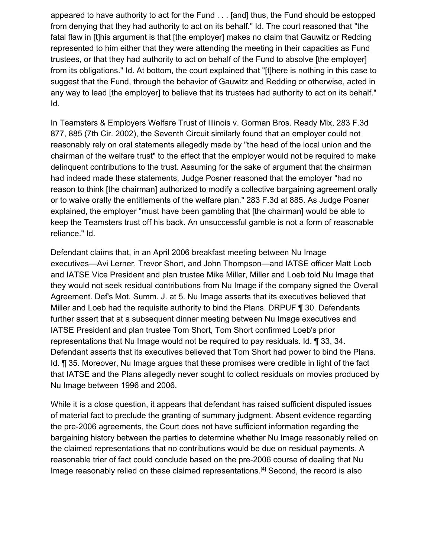appeared to have authority to act for the Fund . . . [and] thus, the Fund should be estopped from denying that they had authority to act on its behalf." Id. The court reasoned that "the fatal flaw in [t]his argument is that [the employer] makes no claim that Gauwitz or Redding represented to him either that they were attending the meeting in their capacities as Fund trustees, or that they had authority to act on behalf of the Fund to absolve [the employer] from its obligations." Id. At bottom, the court explained that "[t]here is nothing in this case to suggest that the Fund, through the behavior of Gauwitz and Redding or otherwise, acted in any way to lead [the employer] to believe that its trustees had authority to act on its behalf." Id.

In Teamsters & Employers Welfare Trust of Illinois v. Gorman Bros. Ready Mix, 283 F.3d 877, 885 (7th Cir. 2002), the Seventh Circuit similarly found that an employer could not reasonably rely on oral statements allegedly made by "the head of the local union and the chairman of the welfare trust" to the effect that the employer would not be required to make delinquent contributions to the trust. Assuming for the sake of argument that the chairman had indeed made these statements, Judge Posner reasoned that the employer "had no reason to think [the chairman] authorized to modify a collective bargaining agreement orally or to waive orally the entitlements of the welfare plan." 283 F.3d at 885. As Judge Posner explained, the employer "must have been gambling that [the chairman] would be able to keep the Teamsters trust off his back. An unsuccessful gamble is not a form of reasonable reliance." Id.

Defendant claims that, in an April 2006 breakfast meeting between Nu Image executives—Avi Lerner, Trevor Short, and John Thompson—and IATSE officer Matt Loeb and IATSE Vice President and plan trustee Mike Miller, Miller and Loeb told Nu Image that they would not seek residual contributions from Nu Image if the company signed the Overall Agreement. Def's Mot. Summ. J. at 5. Nu Image asserts that its executives believed that Miller and Loeb had the requisite authority to bind the Plans. DRPUF ¶ 30. Defendants further assert that at a subsequent dinner meeting between Nu Image executives and IATSE President and plan trustee Tom Short, Tom Short confirmed Loeb's prior representations that Nu Image would not be required to pay residuals. Id. ¶ 33, 34. Defendant asserts that its executives believed that Tom Short had power to bind the Plans. Id. ¶ 35. Moreover, Nu Image argues that these promises were credible in light of the fact that IATSE and the Plans allegedly never sought to collect residuals on movies produced by Nu Image between 1996 and 2006.

While it is a close question, it appears that defendant has raised sufficient disputed issues of material fact to preclude the granting of summary judgment. Absent evidence regarding the pre-2006 agreements, the Court does not have sufficient information regarding the bargaining history between the parties to determine whether Nu Image reasonably relied on the claimed representations that no contributions would be due on residual payments. A reasonable trier of fact could conclude based on the pre-2006 course of dealing that Nu Image reasonably relied on these claimed representations.<sup>[4]</sup> Second, the record is also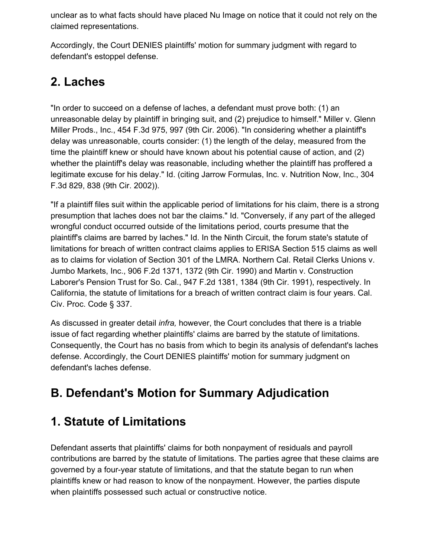unclear as to what facts should have placed Nu Image on notice that it could not rely on the claimed representations.

Accordingly, the Court DENIES plaintiffs' motion for summary judgment with regard to defendant's estoppel defense.

#### **2. Laches**

"In order to succeed on a defense of laches, a defendant must prove both: (1) an unreasonable delay by plaintiff in bringing suit, and (2) prejudice to himself." Miller v. Glenn Miller Prods., Inc., 454 F.3d 975, 997 (9th Cir. 2006). "In considering whether a plaintiff's delay was unreasonable, courts consider: (1) the length of the delay, measured from the time the plaintiff knew or should have known about his potential cause of action, and (2) whether the plaintiff's delay was reasonable, including whether the plaintiff has proffered a legitimate excuse for his delay." Id. (citing Jarrow Formulas, Inc. v. Nutrition Now, Inc., 304 F.3d 829, 838 (9th Cir. 2002)).

"If a plaintiff files suit within the applicable period of limitations for his claim, there is a strong presumption that laches does not bar the claims." Id. "Conversely, if any part of the alleged wrongful conduct occurred outside of the limitations period, courts presume that the plaintiff's claims are barred by laches." Id. In the Ninth Circuit, the forum state's statute of limitations for breach of written contract claims applies to ERISA Section 515 claims as well as to claims for violation of Section 301 of the LMRA. Northern Cal. Retail Clerks Unions v. Jumbo Markets, Inc., 906 F.2d 1371, 1372 (9th Cir. 1990) and Martin v. Construction Laborer's Pension Trust for So. Cal., 947 F.2d 1381, 1384 (9th Cir. 1991), respectively. In California, the statute of limitations for a breach of written contract claim is four years. Cal. Civ. Proc. Code § 337.

As discussed in greater detail *infra,* however, the Court concludes that there is a triable issue of fact regarding whether plaintiffs' claims are barred by the statute of limitations. Consequently, the Court has no basis from which to begin its analysis of defendant's laches defense. Accordingly, the Court DENIES plaintiffs' motion for summary judgment on defendant's laches defense.

# **B. Defendant's Motion for Summary Adjudication**

# **1. Statute of Limitations**

Defendant asserts that plaintiffs' claims for both nonpayment of residuals and payroll contributions are barred by the statute of limitations. The parties agree that these claims are governed by a four-year statute of limitations, and that the statute began to run when plaintiffs knew or had reason to know of the nonpayment. However, the parties dispute when plaintiffs possessed such actual or constructive notice.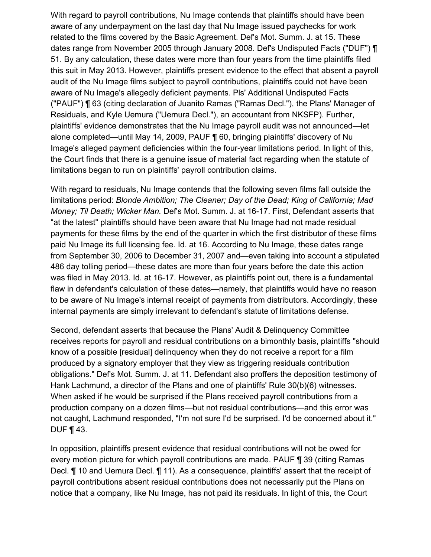With regard to payroll contributions, Nu Image contends that plaintiffs should have been aware of any underpayment on the last day that Nu Image issued paychecks for work related to the films covered by the Basic Agreement. Def's Mot. Summ. J. at 15. These dates range from November 2005 through January 2008. Def's Undisputed Facts ("DUF") ¶ 51. By any calculation, these dates were more than four years from the time plaintiffs filed this suit in May 2013. However, plaintiffs present evidence to the effect that absent a payroll audit of the Nu Image films subject to payroll contributions, plaintiffs could not have been aware of Nu Image's allegedly deficient payments. Pls' Additional Undisputed Facts ("PAUF") ¶ 63 (citing declaration of Juanito Ramas ("Ramas Decl."), the Plans' Manager of Residuals, and Kyle Uemura ("Uemura Decl."), an accountant from NKSFP). Further, plaintiffs' evidence demonstrates that the Nu Image payroll audit was not announced—let alone completed—until May 14, 2009, PAUF ¶ 60, bringing plaintiffs' discovery of Nu Image's alleged payment deficiencies within the four-year limitations period. In light of this, the Court finds that there is a genuine issue of material fact regarding when the statute of limitations began to run on plaintiffs' payroll contribution claims.

With regard to residuals, Nu Image contends that the following seven films fall outside the limitations period: *Blonde Ambition; The Cleaner; Day of the Dead; King of California; Mad Money; Til Death; Wicker Man.* Def's Mot. Summ. J. at 16-17. First, Defendant asserts that "at the latest" plaintiffs should have been aware that Nu Image had not made residual payments for these films by the end of the quarter in which the first distributor of these films paid Nu Image its full licensing fee. Id. at 16. According to Nu Image, these dates range from September 30, 2006 to December 31, 2007 and—even taking into account a stipulated 486 day tolling period—these dates are more than four years before the date this action was filed in May 2013. Id. at 16-17. However, as plaintiffs point out, there is a fundamental flaw in defendant's calculation of these dates—namely, that plaintiffs would have no reason to be aware of Nu Image's internal receipt of payments from distributors. Accordingly, these internal payments are simply irrelevant to defendant's statute of limitations defense.

Second, defendant asserts that because the Plans' Audit & Delinquency Committee receives reports for payroll and residual contributions on a bimonthly basis, plaintiffs "should know of a possible [residual] delinquency when they do not receive a report for a film produced by a signatory employer that they view as triggering residuals contribution obligations." Def's Mot. Summ. J. at 11. Defendant also proffers the deposition testimony of Hank Lachmund, a director of the Plans and one of plaintiffs' Rule 30(b)(6) witnesses. When asked if he would be surprised if the Plans received payroll contributions from a production company on a dozen films—but not residual contributions—and this error was not caught, Lachmund responded, "I'm not sure I'd be surprised. I'd be concerned about it." DUF ¶ 43.

In opposition, plaintiffs present evidence that residual contributions will not be owed for every motion picture for which payroll contributions are made. PAUF ¶ 39 (citing Ramas Decl. ¶ 10 and Uemura Decl. ¶ 11). As a consequence, plaintiffs' assert that the receipt of payroll contributions absent residual contributions does not necessarily put the Plans on notice that a company, like Nu Image, has not paid its residuals. In light of this, the Court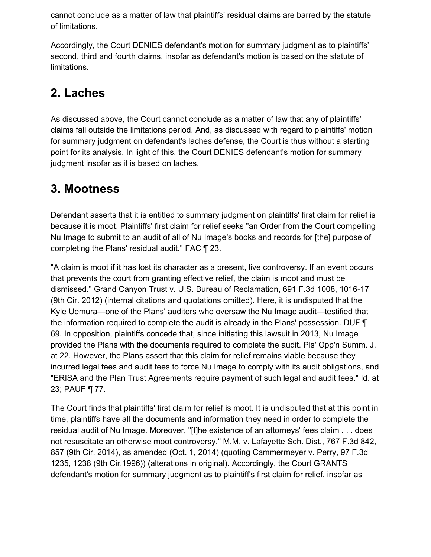cannot conclude as a matter of law that plaintiffs' residual claims are barred by the statute of limitations.

Accordingly, the Court DENIES defendant's motion for summary judgment as to plaintiffs' second, third and fourth claims, insofar as defendant's motion is based on the statute of limitations.

# **2. Laches**

As discussed above, the Court cannot conclude as a matter of law that any of plaintiffs' claims fall outside the limitations period. And, as discussed with regard to plaintiffs' motion for summary judgment on defendant's laches defense, the Court is thus without a starting point for its analysis. In light of this, the Court DENIES defendant's motion for summary judgment insofar as it is based on laches.

#### **3. Mootness**

Defendant asserts that it is entitled to summary judgment on plaintiffs' first claim for relief is because it is moot. Plaintiffs' first claim for relief seeks "an Order from the Court compelling Nu Image to submit to an audit of all of Nu Image's books and records for [the] purpose of completing the Plans' residual audit." FAC ¶ 23.

"A claim is moot if it has lost its character as a present, live controversy. If an event occurs that prevents the court from granting effective relief, the claim is moot and must be dismissed." Grand Canyon Trust v. U.S. Bureau of Reclamation, 691 F.3d 1008, 1016-17 (9th Cir. 2012) (internal citations and quotations omitted). Here, it is undisputed that the Kyle Uemura—one of the Plans' auditors who oversaw the Nu Image audit—testified that the information required to complete the audit is already in the Plans' possession. DUF ¶ 69. In opposition, plaintiffs concede that, since initiating this lawsuit in 2013, Nu Image provided the Plans with the documents required to complete the audit. Pls' Opp'n Summ. J. at 22. However, the Plans assert that this claim for relief remains viable because they incurred legal fees and audit fees to force Nu Image to comply with its audit obligations, and "ERISA and the Plan Trust Agreements require payment of such legal and audit fees." Id. at 23; PAUF ¶ 77.

The Court finds that plaintiffs' first claim for relief is moot. It is undisputed that at this point in time, plaintiffs have all the documents and information they need in order to complete the residual audit of Nu Image. Moreover, "[t]he existence of an attorneys' fees claim . . . does not resuscitate an otherwise moot controversy." M.M. v. Lafayette Sch. Dist., 767 F.3d 842, 857 (9th Cir. 2014), as amended (Oct. 1, 2014) (quoting Cammermeyer v. Perry, 97 F.3d 1235, 1238 (9th Cir.1996)) (alterations in original). Accordingly, the Court GRANTS defendant's motion for summary judgment as to plaintiff's first claim for relief, insofar as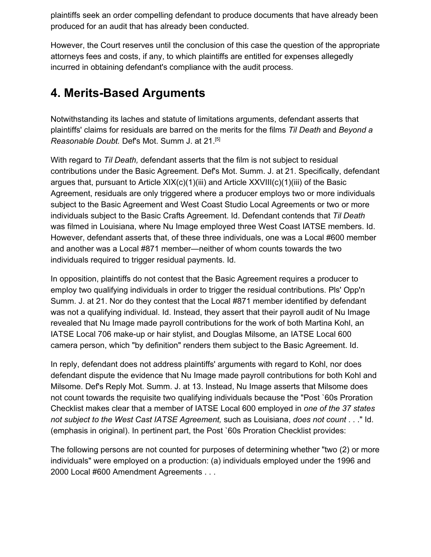plaintiffs seek an order compelling defendant to produce documents that have already been produced for an audit that has already been conducted.

However, the Court reserves until the conclusion of this case the question of the appropriate attorneys fees and costs, if any, to which plaintiffs are entitled for expenses allegedly incurred in obtaining defendant's compliance with the audit process.

#### **4. Merits-Based Arguments**

Notwithstanding its laches and statute of limitations arguments, defendant asserts that plaintiffs' claims for residuals are barred on the merits for the films *Til Death* and *Beyond a Reasonable Doubt.* Def's Mot. Summ J. at 21.[5]

With regard to *Til Death,* defendant asserts that the film is not subject to residual contributions under the Basic Agreement. Def's Mot. Summ. J. at 21. Specifically, defendant argues that, pursuant to Article XIX(c)(1)(iii) and Article XXVIII(c)(1)(iii) of the Basic Agreement, residuals are only triggered where a producer employs two or more individuals subject to the Basic Agreement and West Coast Studio Local Agreements or two or more individuals subject to the Basic Crafts Agreement. Id. Defendant contends that *Til Death* was filmed in Louisiana, where Nu Image employed three West Coast IATSE members. Id. However, defendant asserts that, of these three individuals, one was a Local #600 member and another was a Local #871 member—neither of whom counts towards the two individuals required to trigger residual payments. Id.

In opposition, plaintiffs do not contest that the Basic Agreement requires a producer to employ two qualifying individuals in order to trigger the residual contributions. Pls' Opp'n Summ. J. at 21. Nor do they contest that the Local #871 member identified by defendant was not a qualifying individual. Id. Instead, they assert that their payroll audit of Nu Image revealed that Nu Image made payroll contributions for the work of both Martina Kohl, an IATSE Local 706 make-up or hair stylist, and Douglas Milsome, an IATSE Local 600 camera person, which "by definition" renders them subject to the Basic Agreement. Id.

In reply, defendant does not address plaintiffs' arguments with regard to Kohl, nor does defendant dispute the evidence that Nu Image made payroll contributions for both Kohl and Milsome. Def's Reply Mot. Summ. J. at 13. Instead, Nu Image asserts that Milsome does not count towards the requisite two qualifying individuals because the "Post `60s Proration Checklist makes clear that a member of IATSE Local 600 employed in *one of the 37 states not subject to the West Cast IATSE Agreement,* such as Louisiana, *does not count* . . ." Id. (emphasis in original). In pertinent part, the Post `60s Proration Checklist provides:

The following persons are not counted for purposes of determining whether "two (2) or more individuals" were employed on a production: (a) individuals employed under the 1996 and 2000 Local #600 Amendment Agreements . . .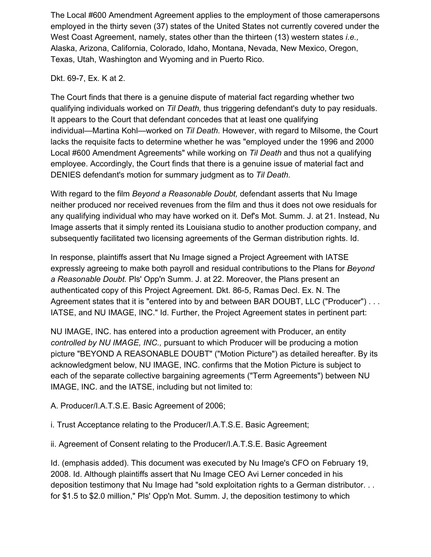The Local #600 Amendment Agreement applies to the employment of those camerapersons employed in the thirty seven (37) states of the United States not currently covered under the West Coast Agreement, namely, states other than the thirteen (13) western states *i.e.,* Alaska, Arizona, California, Colorado, Idaho, Montana, Nevada, New Mexico, Oregon, Texas, Utah, Washington and Wyoming and in Puerto Rico.

#### Dkt. 69-7, Ex. K at 2.

The Court finds that there is a genuine dispute of material fact regarding whether two qualifying individuals worked on *Til Death,* thus triggering defendant's duty to pay residuals. It appears to the Court that defendant concedes that at least one qualifying individual—Martina Kohl—worked on *Til Death.* However, with regard to Milsome, the Court lacks the requisite facts to determine whether he was "employed under the 1996 and 2000 Local #600 Amendment Agreements" while working on *Til Death* and thus not a qualifying employee. Accordingly, the Court finds that there is a genuine issue of material fact and DENIES defendant's motion for summary judgment as to *Til Death.*

With regard to the film *Beyond a Reasonable Doubt,* defendant asserts that Nu Image neither produced nor received revenues from the film and thus it does not owe residuals for any qualifying individual who may have worked on it. Def's Mot. Summ. J. at 21. Instead, Nu Image asserts that it simply rented its Louisiana studio to another production company, and subsequently facilitated two licensing agreements of the German distribution rights. Id.

In response, plaintiffs assert that Nu Image signed a Project Agreement with IATSE expressly agreeing to make both payroll and residual contributions to the Plans for *Beyond a Reasonable Doubt.* Pls' Opp'n Summ. J. at 22. Moreover, the Plans present an authenticated copy of this Project Agreement. Dkt. 86-5, Ramas Decl. Ex. N. The Agreement states that it is "entered into by and between BAR DOUBT, LLC ("Producer") . . . IATSE, and NU IMAGE, INC." Id. Further, the Project Agreement states in pertinent part:

NU IMAGE, INC. has entered into a production agreement with Producer, an entity *controlled by NU IMAGE, INC.,* pursuant to which Producer will be producing a motion picture "BEYOND A REASONABLE DOUBT" ("Motion Picture") as detailed hereafter. By its acknowledgment below, NU IMAGE, INC. confirms that the Motion Picture is subject to each of the separate collective bargaining agreements ("Term Agreements") between NU IMAGE, INC. and the IATSE, including but not limited to:

A. Producer/I.A.T.S.E. Basic Agreement of 2006;

i. Trust Acceptance relating to the Producer/I.A.T.S.E. Basic Agreement;

ii. Agreement of Consent relating to the Producer/I.A.T.S.E. Basic Agreement

Id. (emphasis added). This document was executed by Nu Image's CFO on February 19, 2008. Id. Although plaintiffs assert that Nu Image CEO Avi Lerner conceded in his deposition testimony that Nu Image had "sold exploitation rights to a German distributor. . . for \$1.5 to \$2.0 million," Pls' Opp'n Mot. Summ. J, the deposition testimony to which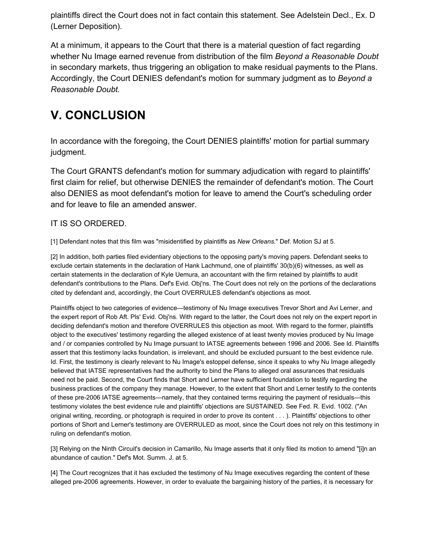plaintiffs direct the Court does not in fact contain this statement. See Adelstein Decl., Ex. D (Lerner Deposition).

At a minimum, it appears to the Court that there is a material question of fact regarding whether Nu Image earned revenue from distribution of the film *Beyond a Reasonable Doubt* in secondary markets, thus triggering an obligation to make residual payments to the Plans. Accordingly, the Court DENIES defendant's motion for summary judgment as to *Beyond a Reasonable Doubt.*

# **V. CONCLUSION**

In accordance with the foregoing, the Court DENIES plaintiffs' motion for partial summary judgment.

The Court GRANTS defendant's motion for summary adjudication with regard to plaintiffs' first claim for relief, but otherwise DENIES the remainder of defendant's motion. The Court also DENIES as moot defendant's motion for leave to amend the Court's scheduling order and for leave to file an amended answer.

#### IT IS SO ORDERED.

[1] Defendant notes that this film was "misidentified by plaintiffs as *New Orleans.*" Def. Motion SJ at 5.

[2] In addition, both parties filed evidentiary objections to the opposing party's moving papers. Defendant seeks to exclude certain statements in the declaration of Hank Lachmund, one of plaintiffs' 30(b)(6) witnesses, as well as certain statements in the declaration of Kyle Uemura, an accountant with the firm retained by plaintiffs to audit defendant's contributions to the Plans. Def's Evid. Obj'ns. The Court does not rely on the portions of the declarations cited by defendant and, accordingly, the Court OVERRULES defendant's objections as moot.

Plaintiffs object to two categories of evidence—testimony of Nu Image executives Trevor Short and Avi Lerner, and the expert report of Rob Aft. Pls' Evid. Obj'ns. With regard to the latter, the Court does not rely on the expert report in deciding defendant's motion and therefore OVERRULES this objection as moot. With regard to the former, plaintiffs object to the executives' testimony regarding the alleged existence of at least twenty movies produced by Nu Image and / or companies controlled by Nu Image pursuant to IATSE agreements between 1996 and 2006. See Id. Plaintiffs assert that this testimony lacks foundation, is irrelevant, and should be excluded pursuant to the best evidence rule. Id. First, the testimony is clearly relevant to Nu Image's estoppel defense, since it speaks to why Nu Image allegedly believed that IATSE representatives had the authority to bind the Plans to alleged oral assurances that residuals need not be paid. Second, the Court finds that Short and Lerner have sufficient foundation to testify regarding the business practices of the company they manage. However, to the extent that Short and Lerner testify to the contents of these pre-2006 IATSE agreements—namely, that they contained terms requiring the payment of residuals—this testimony violates the best evidence rule and plaintiffs' objections are SUSTAINED. See Fed. R. Evid. 1002. ("An original writing, recording, or photograph is required in order to prove its content . . . ). Plaintiffs' objections to other portions of Short and Lerner's testimony are OVERRULED as moot, since the Court does not rely on this testimony in ruling on defendant's motion.

[3] Relying on the Ninth Circuit's decision in Camarillo, Nu Image asserts that it only filed its motion to amend "[i]n an abundance of caution." Def's Mot. Summ. J. at 5.

[4] The Court recognizes that it has excluded the testimony of Nu Image executives regarding the content of these alleged pre-2006 agreements. However, in order to evaluate the bargaining history of the parties, it is necessary for